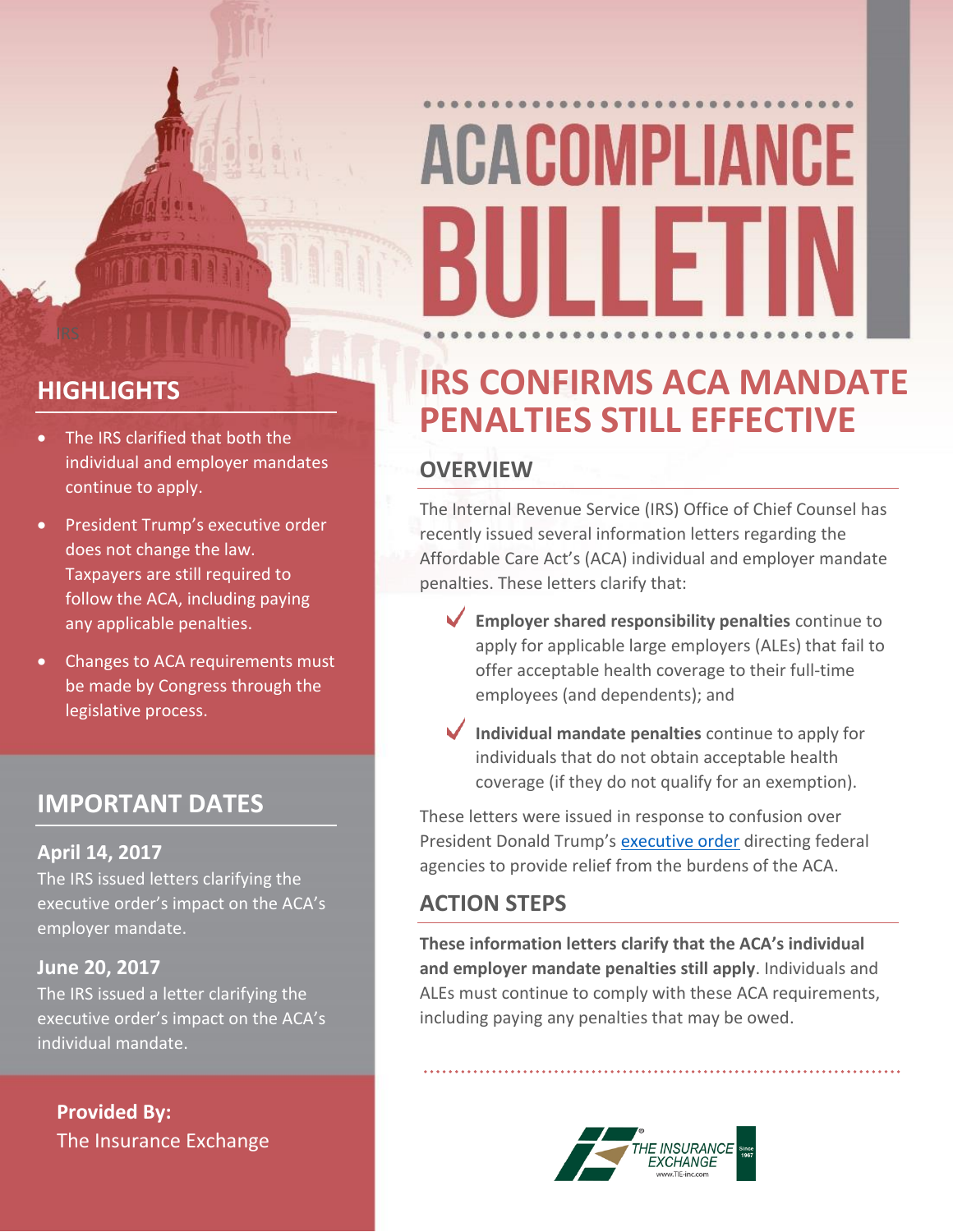# **ACACOMPLIANCE** 11 I F

# **HIGHLIGHTS**

- The IRS clarified that both the individual and employer mandates continue to apply.
- President Trump's executive order does not change the law. Taxpayers are still required to follow the ACA, including paying any applicable penalties.
- Changes to ACA requirements must be made by Congress through the legislative process.

# **IMPORTANT DATES**

#### **April 14, 2017**

The IRS issued letters clarifying the executive order's impact on the ACA's employer mandate.

#### **June 20, 2017**

The IRS issued a letter clarifying the executive order's impact on the ACA's individual mandate.

**Provided By:** The Insurance Exchange

# **IRS CONFIRMS ACA MANDATE PENALTIES STILL EFFECTIVE**

### **OVERVIEW**

The Internal Revenue Service (IRS) Office of Chief Counsel has recently issued several information letters regarding the Affordable Care Act's (ACA) individual and employer mandate penalties. These letters clarify that:

- **Employer shared responsibility penalties** continue to apply for applicable large employers (ALEs) that fail to offer acceptable health coverage to their full-time employees (and dependents); and
- **Individual mandate penalties** continue to apply for individuals that do not obtain acceptable health coverage (if they do not qualify for an exemption).

These letters were issued in response to confusion over President Donald Trump's [executive order](https://www.whitehouse.gov/the-press-office/2017/01/2/executive-order-minimizing-economic-burden-patient-protection-and) directing federal agencies to provide relief from the burdens of the ACA.

# **ACTION STEPS**

**These information letters clarify that the ACA's individual and employer mandate penalties still apply**. Individuals and ALEs must continue to comply with these ACA requirements, including paying any penalties that may be owed.